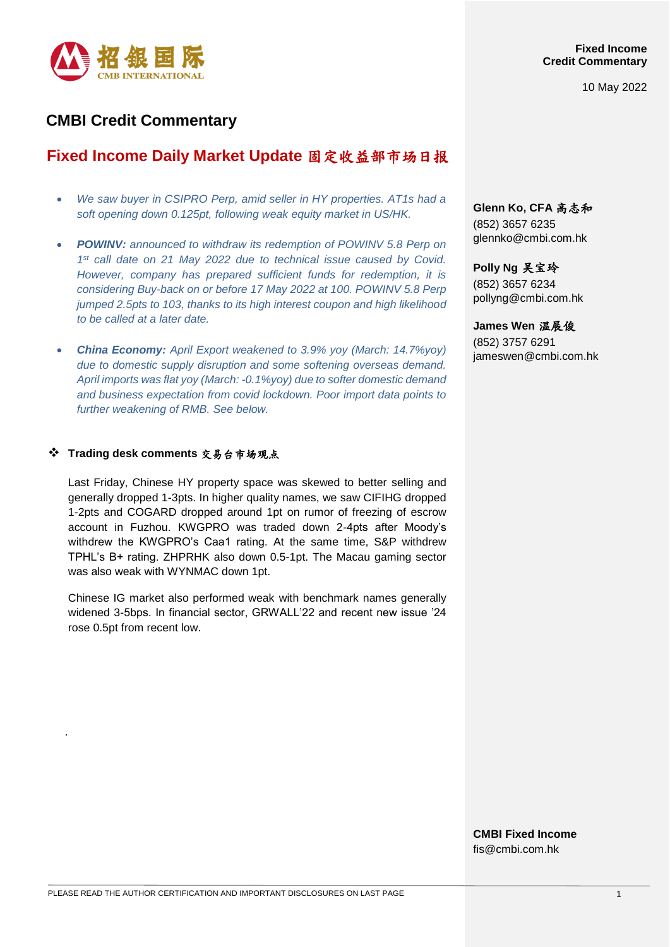

10 May 2022

# **CMBI Credit Commentary**

# **Fixed Income Daily Market Update** 固定收益部市场日报

- *We saw buyer in CSIPRO Perp, amid seller in HY properties. AT1s had a soft opening down 0.125pt, following weak equity market in US/HK.*
- *POWINV: announced to withdraw its redemption of POWINV 5.8 Perp on 1 st call date on 21 May 2022 due to technical issue caused by Covid. However, company has prepared sufficient funds for redemption, it is considering Buy-back on or before 17 May 2022 at 100. POWINV 5.8 Perp jumped 2.5pts to 103, thanks to its high interest coupon and high likelihood to be called at a later date.*
- *China Economy: April Export weakened to 3.9% yoy (March: 14.7%yoy) due to domestic supply disruption and some softening overseas demand. April imports was flat yoy (March: -0.1%yoy) due to softer domestic demand and business expectation from covid lockdown. Poor import data points to further weakening of RMB. See below.*

# **Trading desk comments** 交易台市场观点

.

Last Friday, Chinese HY property space was skewed to better selling and generally dropped 1-3pts. In higher quality names, we saw CIFIHG dropped 1-2pts and COGARD dropped around 1pt on rumor of freezing of escrow account in Fuzhou. KWGPRO was traded down 2-4pts after Moody's withdrew the KWGPRO's Caa1 rating. At the same time, S&P withdrew TPHL's B+ rating. ZHPRHK also down 0.5-1pt. The Macau gaming sector was also weak with WYNMAC down 1pt.

Chinese IG market also performed weak with benchmark names generally widened 3-5bps. In financial sector, GRWALL'22 and recent new issue '24 rose 0.5pt from recent low.

**Glenn Ko, CFA** 高志和 (852) 3657 6235 [glennko@cmbi.com.hk](mailto:glennko@cmbi.com.hk)

**Polly Ng** 吴宝玲 (852) 3657 6234 pollyng@cmbi.com.hk

### **James Wen** 温展俊

(852) 3757 6291 jameswen@cmbi.com.hk

**CMBI Fixed Income** fis@cmbi.com.hk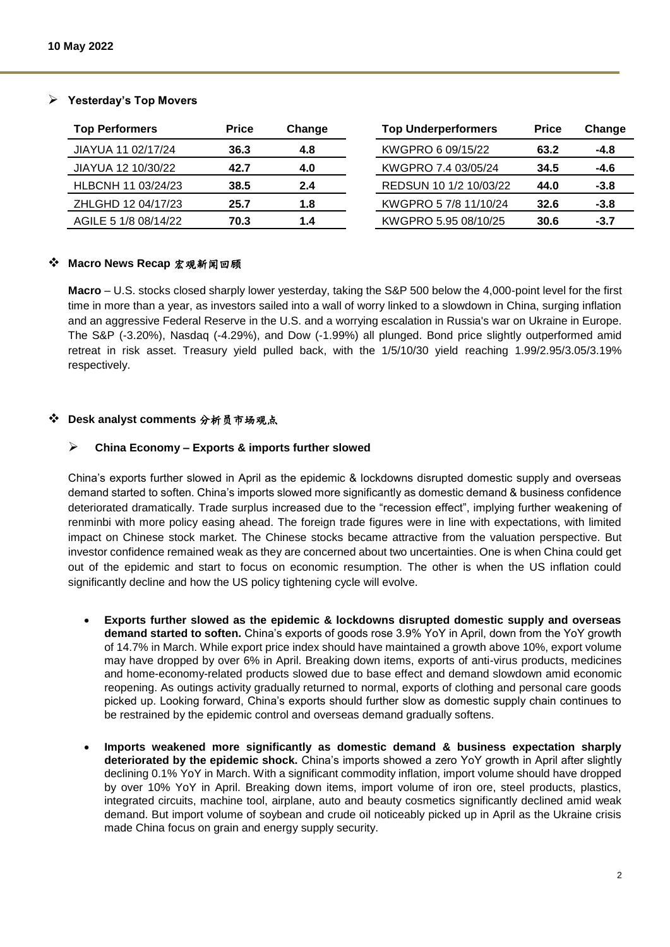| <b>Top Performers</b> | <b>Price</b> | Change | <b>Top Underperformers</b> | <b>Price</b> | Change |
|-----------------------|--------------|--------|----------------------------|--------------|--------|
| JIAYUA 11 02/17/24    | 36.3         | 4.8    | KWGPRO 6 09/15/22          | 63.2         | -4.8   |
| JIAYUA 12 10/30/22    | 42.7         | 4.0    | KWGPRO 7.4 03/05/24        | 34.5         | -4.6   |
| HLBCNH 11 03/24/23    | 38.5         | 2.4    | REDSUN 10 1/2 10/03/22     | 44.0         | $-3.8$ |
| ZHLGHD 12 04/17/23    | 25.7         | 1.8    | KWGPRO 5 7/8 11/10/24      | 32.6         | $-3.8$ |
| AGILE 5 1/8 08/14/22  | 70.3         | 1.4    | KWGPRO 5.95 08/10/25       | 30.6         | $-3.7$ |

# **Yesterday's Top Movers**

# **Macro News Recap** 宏观新闻回顾

**Macro** – U.S. stocks closed sharply lower yesterday, taking the S&P 500 below the 4,000-point level for the first time in more than a year, as investors sailed into a wall of worry linked to a slowdown in China, surging inflation and an aggressive Federal Reserve in the U.S. and a worrying escalation in Russia's war on Ukraine in Europe. The S&P (-3.20%), Nasdaq (-4.29%), and Dow (-1.99%) all plunged. Bond price slightly outperformed amid retreat in risk asset. Treasury yield pulled back, with the 1/5/10/30 yield reaching 1.99/2.95/3.05/3.19% respectively.

# **Desk analyst comments** 分析员市场观点

# **China Economy – Exports & imports further slowed**

China's exports further slowed in April as the epidemic & lockdowns disrupted domestic supply and overseas demand started to soften. China's imports slowed more significantly as domestic demand & business confidence deteriorated dramatically. Trade surplus increased due to the "recession effect", implying further weakening of renminbi with more policy easing ahead. The foreign trade figures were in line with expectations, with limited impact on Chinese stock market. The Chinese stocks became attractive from the valuation perspective. But investor confidence remained weak as they are concerned about two uncertainties. One is when China could get out of the epidemic and start to focus on economic resumption. The other is when the US inflation could significantly decline and how the US policy tightening cycle will evolve.

- **Exports further slowed as the epidemic & lockdowns disrupted domestic supply and overseas demand started to soften.** China's exports of goods rose 3.9% YoY in April, down from the YoY growth of 14.7% in March. While export price index should have maintained a growth above 10%, export volume may have dropped by over 6% in April. Breaking down items, exports of anti-virus products, medicines and home-economy-related products slowed due to base effect and demand slowdown amid economic reopening. As outings activity gradually returned to normal, exports of clothing and personal care goods picked up. Looking forward, China's exports should further slow as domestic supply chain continues to be restrained by the epidemic control and overseas demand gradually softens.
- **Imports weakened more significantly as domestic demand & business expectation sharply deteriorated by the epidemic shock.** China's imports showed a zero YoY growth in April after slightly declining 0.1% YoY in March. With a significant commodity inflation, import volume should have dropped by over 10% YoY in April. Breaking down items, import volume of iron ore, steel products, plastics, integrated circuits, machine tool, airplane, auto and beauty cosmetics significantly declined amid weak demand. But import volume of soybean and crude oil noticeably picked up in April as the Ukraine crisis made China focus on grain and energy supply security.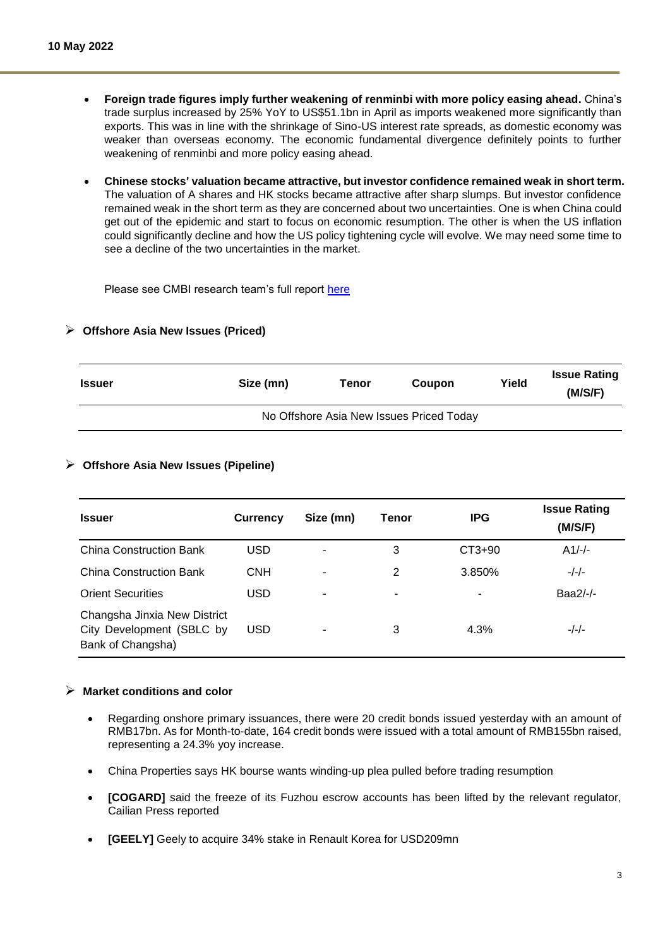- **Foreign trade figures imply further weakening of renminbi with more policy easing ahead.** China's trade surplus increased by 25% YoY to US\$51.1bn in April as imports weakened more significantly than exports. This was in line with the shrinkage of Sino-US interest rate spreads, as domestic economy was weaker than overseas economy. The economic fundamental divergence definitely points to further weakening of renminbi and more policy easing ahead.
- **Chinese stocks' valuation became attractive, but investor confidence remained weak in short term.** The valuation of A shares and HK stocks became attractive after sharp slumps. But investor confidence remained weak in the short term as they are concerned about two uncertainties. One is when China could get out of the epidemic and start to focus on economic resumption. The other is when the US inflation could significantly decline and how the US policy tightening cycle will evolve. We may need some time to see a decline of the two uncertainties in the market.

Please see CMBI research team's full report [here](https://www.cmbi.com/article/6757.html?lang=en)

### **Offshore Asia New Issues (Priced)**

| <b>Issuer</b> | Size (mn)                                | Tenor | <b>Coupon</b> | Yield | <b>Issue Rating</b><br>(M/S/F) |  |
|---------------|------------------------------------------|-------|---------------|-------|--------------------------------|--|
|               | No Offshore Asia New Issues Priced Today |       |               |       |                                |  |

### **Offshore Asia New Issues (Pipeline)**

| <b>Issuer</b>                                                                  | <b>Currency</b> | Size (mn) | Tenor | <b>IPG</b> | <b>Issue Rating</b><br>(M/S/F) |
|--------------------------------------------------------------------------------|-----------------|-----------|-------|------------|--------------------------------|
| <b>China Construction Bank</b>                                                 | <b>USD</b>      |           | 3     | CT3+90     | $A1/-/-.$                      |
| <b>China Construction Bank</b>                                                 | <b>CNH</b>      | ۰         | 2     | 3.850%     | $-/-/-$                        |
| <b>Orient Securities</b>                                                       | <b>USD</b>      | ۰         | ٠     | -          | Baa2/-/-                       |
| Changsha Jinxia New District<br>City Development (SBLC by<br>Bank of Changsha) | <b>USD</b>      |           | 3     | 4.3%       | $-/-/-$                        |

#### **Market conditions and color**

- Regarding onshore primary issuances, there were 20 credit bonds issued yesterday with an amount of RMB17bn. As for Month-to-date, 164 credit bonds were issued with a total amount of RMB155bn raised, representing a 24.3% yoy increase.
- China Properties says HK bourse wants winding-up plea pulled before trading resumption
- **[COGARD]** said the freeze of its Fuzhou escrow accounts has been lifted by the relevant regulator, Cailian Press reported
- **[GEELY]** Geely to acquire 34% stake in Renault Korea for USD209mn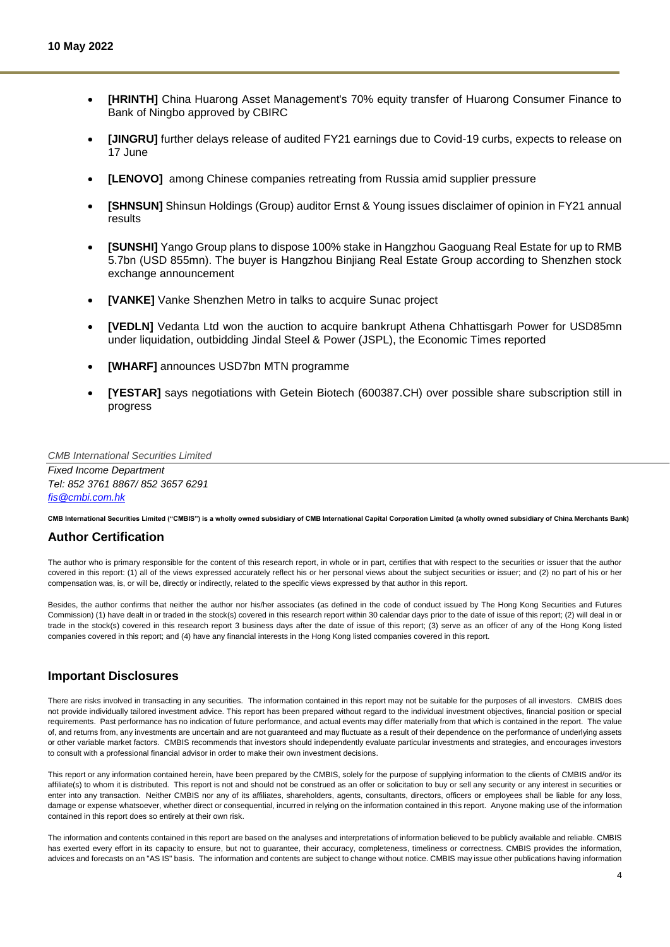- **[HRINTH]** China Huarong Asset Management's 70% equity transfer of Huarong Consumer Finance to Bank of Ningbo approved by CBIRC
- **[JINGRU]** further delays release of audited FY21 earnings due to Covid-19 curbs, expects to release on 17 June
- **[LENOVO]** among Chinese companies retreating from Russia amid supplier pressure
- **[SHNSUN]** Shinsun Holdings (Group) auditor Ernst & Young issues disclaimer of opinion in FY21 annual results
- **[SUNSHI]** Yango Group plans to dispose 100% stake in Hangzhou Gaoguang Real Estate for up to RMB 5.7bn (USD 855mn). The buyer is Hangzhou Binjiang Real Estate Group according to Shenzhen stock exchange announcement
- **[VANKE]** Vanke Shenzhen Metro in talks to acquire Sunac project
- **[VEDLN]** Vedanta Ltd won the auction to acquire bankrupt Athena Chhattisgarh Power for USD85mn under liquidation, outbidding Jindal Steel & Power (JSPL), the Economic Times reported
- **[WHARF]** announces USD7bn MTN programme
- **[YESTAR]** says negotiations with Getein Biotech (600387.CH) over possible share subscription still in progress

*CMB International Securities Limited*

*Fixed Income Department Tel: 852 3761 8867/ 852 3657 6291 [fis@cmbi.com.hk](mailto:fis@cmbi.com.hk)*

**CMB International Securities Limited ("CMBIS") is a wholly owned subsidiary of CMB International Capital Corporation Limited (a wholly owned subsidiary of China Merchants Bank)** 

# **Author Certification**

The author who is primary responsible for the content of this research report, in whole or in part, certifies that with respect to the securities or issuer that the author covered in this report: (1) all of the views expressed accurately reflect his or her personal views about the subject securities or issuer; and (2) no part of his or her compensation was, is, or will be, directly or indirectly, related to the specific views expressed by that author in this report.

Besides, the author confirms that neither the author nor his/her associates (as defined in the code of conduct issued by The Hong Kong Securities and Futures Commission) (1) have dealt in or traded in the stock(s) covered in this research report within 30 calendar days prior to the date of issue of this report; (2) will deal in or trade in the stock(s) covered in this research report 3 business days after the date of issue of this report; (3) serve as an officer of any of the Hong Kong listed companies covered in this report; and (4) have any financial interests in the Hong Kong listed companies covered in this report.

#### **Important Disclosures**

There are risks involved in transacting in any securities. The information contained in this report may not be suitable for the purposes of all investors. CMBIS does not provide individually tailored investment advice. This report has been prepared without regard to the individual investment objectives, financial position or special requirements. Past performance has no indication of future performance, and actual events may differ materially from that which is contained in the report. The value of, and returns from, any investments are uncertain and are not guaranteed and may fluctuate as a result of their dependence on the performance of underlying assets or other variable market factors. CMBIS recommends that investors should independently evaluate particular investments and strategies, and encourages investors to consult with a professional financial advisor in order to make their own investment decisions.

This report or any information contained herein, have been prepared by the CMBIS, solely for the purpose of supplying information to the clients of CMBIS and/or its affiliate(s) to whom it is distributed. This report is not and should not be construed as an offer or solicitation to buy or sell any security or any interest in securities or enter into any transaction. Neither CMBIS nor any of its affiliates, shareholders, agents, consultants, directors, officers or employees shall be liable for any loss, damage or expense whatsoever, whether direct or consequential, incurred in relying on the information contained in this report. Anyone making use of the information contained in this report does so entirely at their own risk.

The information and contents contained in this report are based on the analyses and interpretations of information believed to be publicly available and reliable. CMBIS has exerted every effort in its capacity to ensure, but not to guarantee, their accuracy, completeness, timeliness or correctness. CMBIS provides the information, advices and forecasts on an "AS IS" basis. The information and contents are subject to change without notice. CMBIS may issue other publications having information